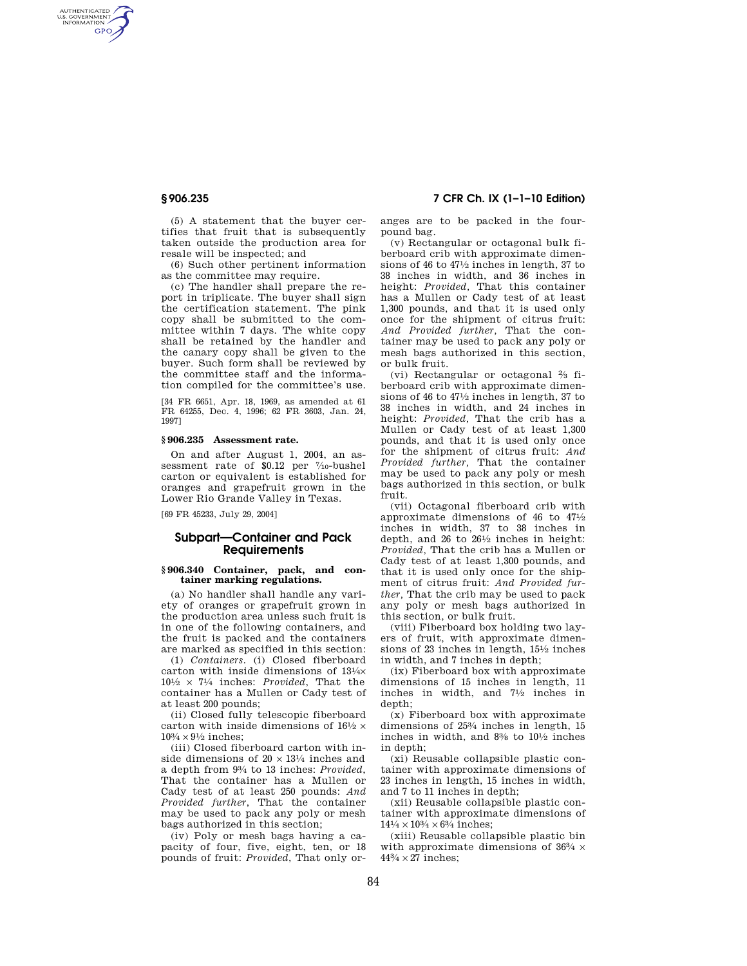AUTHENTICATED<br>U.S. GOVERNMENT<br>INFORMATION **GPO** 

> (5) A statement that the buyer certifies that fruit that is subsequently taken outside the production area for resale will be inspected; and

(6) Such other pertinent information as the committee may require.

(c) The handler shall prepare the report in triplicate. The buyer shall sign the certification statement. The pink copy shall be submitted to the committee within 7 days. The white copy shall be retained by the handler and the canary copy shall be given to the buyer. Such form shall be reviewed by the committee staff and the information compiled for the committee's use.

[34 FR 6651, Apr. 18, 1969, as amended at 61 FR 64255, Dec. 4, 1996; 62 FR 3603, Jan. 24, 1997]

#### **§ 906.235 Assessment rate.**

On and after August 1, 2004, an assessment rate of \$0.12 per 7/10-bushel carton or equivalent is established for oranges and grapefruit grown in the Lower Rio Grande Valley in Texas.

[69 FR 45233, July 29, 2004]

## **Subpart—Container and Pack Requirements**

#### **§ 906.340 Container, pack, and container marking regulations.**

(a) No handler shall handle any variety of oranges or grapefruit grown in the production area unless such fruit is in one of the following containers, and the fruit is packed and the containers are marked as specified in this section:

(1) *Containers.* (i) Closed fiberboard carton with inside dimensions of 131⁄4× 101⁄2 × 71⁄4 inches: *Provided*, That the container has a Mullen or Cady test of at least 200 pounds;

(ii) Closed fully telescopic fiberboard carton with inside dimensions of  $16\frac{1}{2} \times$  $10\% \times 9\%$  inches;

(iii) Closed fiberboard carton with inside dimensions of  $20 \times 13^{1/4}$  inches and a depth from 93⁄4 to 13 inches: *Provided*, That the container has a Mullen or Cady test of at least 250 pounds: *And Provided further*, That the container may be used to pack any poly or mesh bags authorized in this section;

(iv) Poly or mesh bags having a capacity of four, five, eight, ten, or 18 pounds of fruit: *Provided*, That only or-

### **§ 906.235 7 CFR Ch. IX (1–1–10 Edition)**

anges are to be packed in the fourpound bag.

(v) Rectangular or octagonal bulk fiberboard crib with approximate dimensions of 46 to  $47\frac{1}{2}$  inches in length, 37 to 38 inches in width, and 36 inches in height: *Provided,* That this container has a Mullen or Cady test of at least 1,300 pounds, and that it is used only once for the shipment of citrus fruit: *And Provided further,* That the container may be used to pack any poly or mesh bags authorized in this section, or bulk fruit.

(vi) Rectangular or octagonal  $\frac{2}{3}$  fiberboard crib with approximate dimensions of 46 to 471⁄2 inches in length, 37 to 38 inches in width, and 24 inches in height: *Provided,* That the crib has a Mullen or Cady test of at least 1,300 pounds, and that it is used only once for the shipment of citrus fruit: *And Provided further,* That the container may be used to pack any poly or mesh bags authorized in this section, or bulk fruit.

(vii) Octagonal fiberboard crib with approximate dimensions of 46 to 471⁄2 inches in width, 37 to 38 inches in depth, and 26 to  $26\frac{1}{2}$  inches in height: *Provided,* That the crib has a Mullen or Cady test of at least 1,300 pounds, and that it is used only once for the shipment of citrus fruit: *And Provided further,* That the crib may be used to pack any poly or mesh bags authorized in this section, or bulk fruit.

(viii) Fiberboard box holding two layers of fruit, with approximate dimensions of 23 inches in length, 151⁄2 inches in width, and 7 inches in depth;

(ix) Fiberboard box with approximate dimensions of 15 inches in length, 11 inches in width, and 71⁄2 inches in depth;

(x) Fiberboard box with approximate dimensions of  $25\frac{3}{4}$  inches in length 15 inches in width, and 83⁄8 to 101⁄2 inches in depth;

(xi) Reusable collapsible plastic container with approximate dimensions of 23 inches in length, 15 inches in width, and 7 to 11 inches in depth;

(xii) Reusable collapsible plastic container with approximate dimensions of  $14\frac{1}{4} \times 10\frac{3}{4} \times 6\frac{3}{4}$  inches;

(xiii) Reusable collapsible plastic bin with approximate dimensions of 36<sup>3</sup>/<sub>4</sub>  $\times$  $44\frac{3}{4} \times 27$  inches;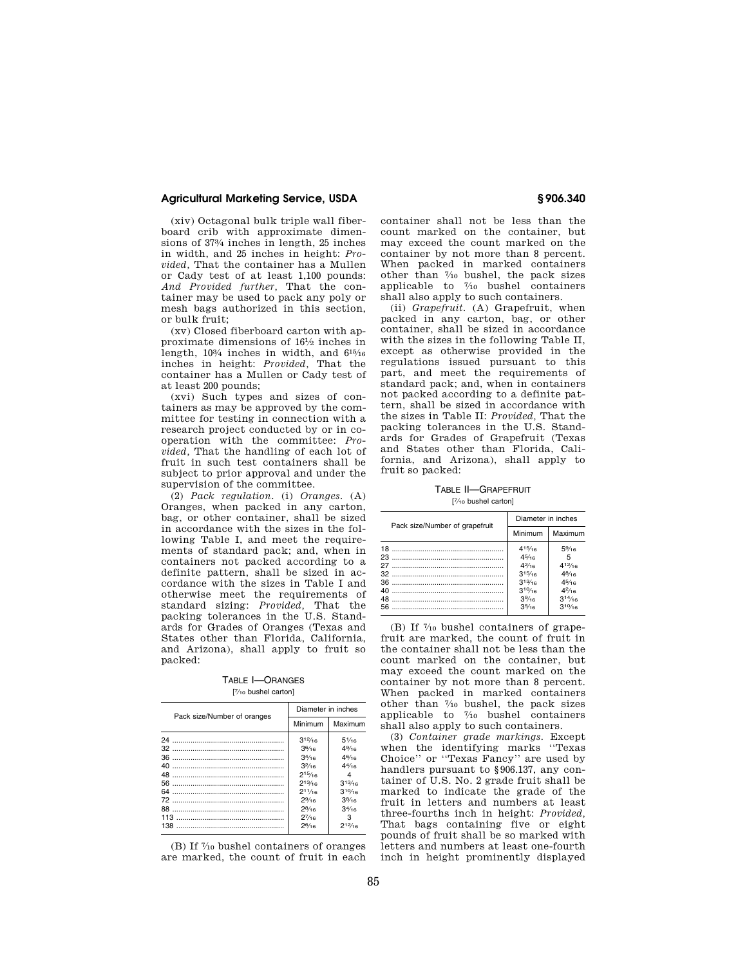## **Agricultural Marketing Service, USDA § 906.340**

(xiv) Octagonal bulk triple wall fiberboard crib with approximate dimensions of 373⁄4 inches in length, 25 inches in width, and 25 inches in height: *Provided,* That the container has a Mullen or Cady test of at least 1,100 pounds: *And Provided further,* That the container may be used to pack any poly or mesh bags authorized in this section, or bulk fruit;

(xv) Closed fiberboard carton with approximate dimensions of 161⁄2 inches in length, 103⁄4 inches in width, and 615⁄16 inches in height: *Provided,* That the container has a Mullen or Cady test of at least 200 pounds;

(xvi) Such types and sizes of containers as may be approved by the committee for testing in connection with a research project conducted by or in cooperation with the committee: *Provided,* That the handling of each lot of fruit in such test containers shall be subject to prior approval and under the supervision of the committee.

(2) *Pack regulation.* (i) *Oranges.* (A) Oranges, when packed in any carton, bag, or other container, shall be sized in accordance with the sizes in the following Table I, and meet the requirements of standard pack; and, when in containers not packed according to a definite pattern, shall be sized in accordance with the sizes in Table I and otherwise meet the requirements of standard sizing: *Provided,* That the packing tolerances in the U.S. Standards for Grades of Oranges (Texas and States other than Florida, California, and Arizona), shall apply to fruit so packed:

TABLE I—ORANGES [ 7⁄10 bushel carton]

| Pack size/Number of oranges | Diameter in inches |                 |
|-----------------------------|--------------------|-----------------|
|                             | Minimum            | Maximum         |
|                             | $3^{12}/16$        | $5\frac{1}{16}$ |
|                             | 3 <sup>6</sup> /16 | $4\frac{9}{16}$ |
|                             | $3^{4}/16$         | $4^{6}/_{16}$   |
| 40                          | $3^{2}/16$         | $4^{4}/_{16}$   |
| 48                          | $2^{15}/16$        | 4               |
| 56.                         | $2^{13/16}$        | $3^{13/16}$     |
|                             | $2^{11/16}$        | $3^{10/16}$     |
|                             | $2\frac{9}{16}$    | $3^{8}/16$      |
|                             | $2^{8/16}$         | 34/16           |
| 113                         | $2^{7/16}$         | з               |
| 138                         | $2^{6}/16$         | $2^{12}/16$     |

(B) If 7⁄10 bushel containers of oranges are marked, the count of fruit in each

container shall not be less than the count marked on the container, but may exceed the count marked on the container by not more than 8 percent. When packed in marked containers other than 7⁄10 bushel, the pack sizes applicable to 7⁄10 bushel containers shall also apply to such containers.

(ii) *Grapefruit.* (A) Grapefruit, when packed in any carton, bag, or other container, shall be sized in accordance with the sizes in the following Table II, except as otherwise provided in the regulations issued pursuant to this part, and meet the requirements of standard pack; and, when in containers not packed according to a definite pattern, shall be sized in accordance with the sizes in Table II: *Provided,* That the packing tolerances in the U.S. Standards for Grades of Grapefruit (Texas and States other than Florida, California, and Arizona), shall apply to fruit so packed:

TABLE II—GRAPEFRUIT [ 7⁄10 bushel carton]

| Pack size/Number of grapefruit | Diameter in inches                                                                         |                                                                                                |
|--------------------------------|--------------------------------------------------------------------------------------------|------------------------------------------------------------------------------------------------|
|                                | Minimum                                                                                    | Maximum                                                                                        |
| 40                             | 415/16<br>45/16<br>$4^{2}/_{16}$<br>$3^{15}/16$<br>$3^{13}/16$<br>310/16<br>39/16<br>35/16 | $5\%$ <sub>16</sub><br>5<br>$4^{12}/16$<br>$4^{8}/_{16}$<br>45/16<br>42/16<br>314/16<br>310/16 |

(B) If 7⁄10 bushel containers of grapefruit are marked, the count of fruit in the container shall not be less than the count marked on the container, but may exceed the count marked on the container by not more than 8 percent. When packed in marked containers other than 7⁄10 bushel, the pack sizes applicable to  $\frac{7}{10}$  bushel containers shall also apply to such containers.

(3) *Container grade markings.* Except when the identifying marks ''Texas Choice'' or ''Texas Fancy'' are used by handlers pursuant to §906.137, any container of U.S. No. 2 grade fruit shall be marked to indicate the grade of the fruit in letters and numbers at least three-fourths inch in height: *Provided,*  That bags containing five or eight pounds of fruit shall be so marked with letters and numbers at least one-fourth inch in height prominently displayed